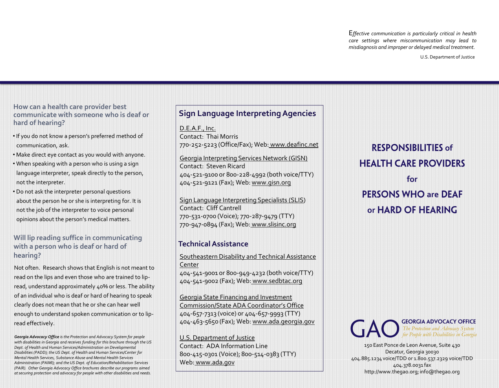E*ffective communication is particularly critical in health care settings where miscommunication may lead to misdiagnosis and improper or delayed medical treatment.*

U.S. Department of Justice

**How can a health care provider best communicate with someone who is deaf or hard of hearing?**

- If you do not know a person's preferred method of communication, ask.
- Make direct eye contact as you would with anyone.
- When speaking with a person who is using a sign language interpreter, speak directly to the person, not the interpreter.
- Do not ask the interpreter personal questions about the person he or she is interpreting for. It is not the job of the interpreter to voice personal opinions about the person's medical matters.

#### **Will lip reading suffice in communicating with a person who is deaf or hard of hearing?**

Not often. Research shows that English is not meant to read on the lips and even those who are trained to lipread, understand approximately 40% or less. The ability of an individual who is deaf or hard of hearing to speak clearly does not mean that he or she can hear well enough to understand spoken communication or to lipread effectively.

*Georgia Advocacy Office is the Protection and Advocacy System for people with disabilities in Georgia and receives funding for this brochure through the US Dept. of Health and Human Services/Administration on Developmental Disabilities (PADD); the US Dept. of Health and Human Services/Center for Mental Health Services, Substance Abuse and Mental Health Services Administration (PAIMI); and the US Dept. of Education/Rehabilitation Services (PAIR). Other Georgia Advocacy Office brochures describe our programs aimed at securing protection and advocacy for people with other disabilities and needs.*

# **Sign Language Interpreting Agencies**

D.E.A.F., Inc. Contact: Thai Morris 770-252-5223 (Office/Fax); Web: www.deafinc.net

Georgia Interpreting Services Network (GISN) Contact: Steven Ricard 404-521-9100 or 800-228-4992 (both voice/TTY) 404-521-9121 (Fax); Web: www.gisn.org

Sign Language Interpreting Specialists (SLIS) Contact: Cliff Cantrell 770-531-0700 (Voice); 770-287-9479 (TTY) 770-947-0894 (Fax); Web: www.slisinc.org

### **Technical Assistance**

Southeastern Disability and Technical Assistance Center 404-541-9001 or 800-949-4232 (both voice/TTY) 404-541-9002 (Fax); Web: www.sedbtac.org

Georgia State Financing and Investment Commission/State ADA Coordinator's Office 404-657-7313 (voice) or 404-657-9993 (TTY) 404-463-5650 (Fax); Web: www.ada.georgia.gov

U.S. Department of Justice Contact: ADA Information Line 800-415-0301 (Voice); 800-514-0383 (TTY) Web: www.ada.gov

**RESPONSIBILITIES of HEALTH CARE PROVIDERS for PERSONS WHO are DEAF** or HARD OF HEARING



150 East Ponce de Leon Avenue, Suite 430 Decatur, Georgia 30030 404.885.1234 voice/TDD or 1.800.537.2329 voice/TDD 404.378.0031 fax http://www.thegao.org; info@thegao.org